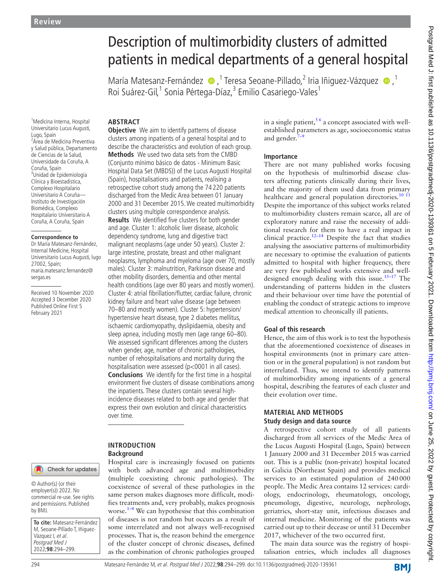# Description of multimorbidity clusters of admitted patients in medical departments of a general hospital

MaríaMatesanz-Fernández · 7 Teresa Seoane-Pillado, 2 Iria Iñiguez-Vázquez · 7 Roi Suárez-Gil,<sup>1</sup> Sonia Pértega-Díaz,<sup>3</sup> Emilio Casariego-Vales<sup>1</sup>

1 Medicina Interna, Hospital Universitario Lucus Augusti, Lugo, Spain

2 Área de Medicina Preventiva y Salud pública, Departamento de Ciencias de la Salud, Universidade da Coruña, A Coruña, Spain 3 Unidad de Epidemiología Clínica y Bioestadística, Complexo Hospitalario Universitario A Coruña— Instituto de Investigación Biomédica, Complexo Hospitalario Universitario A Coruña, A Coruña, Spain

#### **Correspondence to**

Dr María Matesanz-Fernández, Internal Medicine, Hospital Universitario Lucus Augusti, lugo 27002, Spain; maria.matesanz.fernandez@ sergas.es

Received 10 November 2020 Accepted 3 December 2020 Published Online First 5 February 2021

# Check for updates

© Author(s) (or their employer(s)) 2022. No commercial re-use. See rights and permissions. Published by BMJ.

**To cite:** Matesanz-Fernández M, Seoane-Pillado T, Iñiguez-Vázquez I, et al. Postgrad Med J 2022;**98**:294–299.

# **ABSTRACT**

**Objective** We aim to identify patterns of disease clusters among inpatients of a general hospital and to describe the characteristics and evolution of each group. **Methods** We used two data sets from the CMBD (Conjunto mínimo básico de datos - Minimum Basic Hospital Data Set (MBDS)) of the Lucus Augusti Hospital (Spain), hospitalisations and patients, realising a retrospective cohort study among the 74 220 patients discharged from the Medic Area between 01 January 2000 and 31 December 2015. We created multimorbidity clusters using multiple correspondence analysis. **Results** We identified five clusters for both gender and age. Cluster 1: alcoholic liver disease, alcoholic dependency syndrome, lung and digestive tract malignant neoplasms (age under 50 years). Cluster 2: large intestine, prostate, breast and other malignant neoplasms, lymphoma and myeloma (age over 70, mostly males). Cluster 3: malnutrition, Parkinson disease and other mobility disorders, dementia and other mental health conditions (age over 80 years and mostly women). Cluster 4: atrial fibrillation/flutter, cardiac failure, chronic kidney failure and heart valve disease (age between 70–80 and mostly women). Cluster 5: hypertension/ hypertensive heart disease, type 2 diabetes mellitus, ischaemic cardiomyopathy, dyslipidaemia, obesity and sleep apnea, including mostly men (age range 60–80). We assessed significant differences among the clusters when gender, age, number of chronic pathologies, number of rehospitalisations and mortality during the hospitalisation were assessed (p<0001 in all cases). **Conclusions** We identify for the first time in a hospital environment five clusters of disease combinations among the inpatients. These clusters contain several highincidence diseases related to both age and gender that express their own evolution and clinical characteristics over time.

#### **INTRODUCTION Background**

Hospital care is increasingly focused on patients with both advanced age and multimorbidity (multiple coexisting chronic pathologies). The coexistence of several of these pathologies in the same person makes diagnoses more difficult, modifies treatments and, very probably, makes prognosis worse. $1-4$  We can hypothesise that this combination of diseases is not random but occurs as a result of some interrelated and not always well-recognised processes. That is, the reason behind the emergence of the cluster concept of chronic diseases, defined as the combination of chronic pathologies grouped

in a single patient,  $56$  a concept associated with wellestablished parameters as age, socioeconomic status and gender.<sup>7</sup>

#### **Importance**

There are not many published works focusing on the hypothesis of multimorbid disease clusters affecting patients clinically during their lives, and the majority of them used data from primary healthcare and general population directories.<sup>[10 11](#page-4-3)</sup> Despite the importance of this subject works related to multimorbidity clusters remain scarce, all are of exploratory nature and raise the necessity of additional research for them to have a real impact in clinical practice.<sup>[12–14](#page-4-4)</sup> Despite the fact that studies analysing the associative patterns of multimorbidity are necessary to optimise the evaluation of patients admitted to hospital with higher frequency, there are very few published works extensive and welldesigned enough dealing with this issue.<sup>15-17</sup> The understanding of patterns hidden in the clusters and their behaviour over time have the potential of enabling the conduct of strategic actions to improve medical attention to chronically ill patients.

# **Goal of this research**

Hence, the aim of this work is to test the hypothesis that the aforementioned coexistence of diseases in hospital environments (not in primary care attention or in the general population) is not random but interrelated. Thus, we intend to identify patterns of multimorbidity among inpatients of a general hospital, describing the features of each cluster and their evolution over time.

#### **MATERIAL AND METHODS Study design and data source**

A retrospective cohort study of all patients discharged from all services of the Medic Area of the Lucus Augusti Hospital (Lugo, Spain) between 1 January 2000 and 31 December 2015 was carried out. This is a public (non-private) hospital located in Galicia (Northeast Spain) and provides medical services to an estimated population of 240000 people. The Medic Area contains 12 services: cardiology, endocrinology, rheumatology, oncology, pneumology, digestive, neurology, nephrology, geriatrics, short-stay unit, infectious diseases and internal medicine. Monitoring of the patients was carried out up to their decease or until 31 December 2017, whichever of the two occurred first.

The main data source was the registry of hospitalisation entries, which includes all diagnoses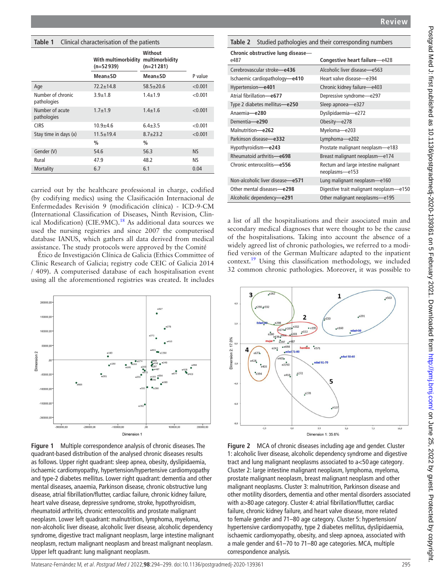### **Review**

# **Chronic obstructive lung disease** e487 **Congestive heart failure**—e428 Cerebrovascular stroke**—e436** Alcoholic liver disease**—**e563 Ischaemic cardiopathology**—e410** Heart valve disease—e394 Hypertension**—e401** Chronic kidney failure—e403 Atrial fibrillation**—e677** Depressive syndrome—e297 Type 2 diabetes mellitus**—e250** Sleep apnoea—e327 Anaemia**—e280** Dyslipidaemia—e272 Dementia**—e290** Obesity—e278 Malnutrition**—e262** Myeloma—e203 Parkinson disease**—e332** Lymphoma—e202 Hypothyroidism**—e243** Prostate malignant neoplasm—e183 Rheumatoid arthritis**—e698** Breast malignant neoplasm—e174 Chronic enterocolitis**—e556** Rectum and large intestine malignant neoplasms—e153 Non-alcoholic liver disease**—e571** Lung malignant neoplasm—e160 Other mental diseases**—e298** Digestive trait malignant neoplasm—e150 Alcoholic dependency**—e291** Other malignant neoplasms—e195 a list of all the hospitalisations and their associated main and secondary medical diagnoses that were thought to be the cause of the hospitalisations. Taking into account the absence of a widely agreed list of chronic pathologies, we referred to a modified version of the German Multicare adapted to the inpatient context[.19](#page-4-7) Using this classification methodology, we included 32 common chronic pathologies. Moreover, it was possible to e290 e332  $\overline{2}$  $^{2,0}$  $20$  $(e174e^{e183})$ 17.0%  $e^{297}$

# <span id="page-1-0"></span>**Table 1** Clinical characterisation of the patients

|                                  | With multimorbidity<br>$(n=52939)$ | Without<br>multimorbidity<br>$(n=21281)$ |         |
|----------------------------------|------------------------------------|------------------------------------------|---------|
|                                  | Mean±SD                            | Mean±SD                                  | P value |
| Age                              | $72.2 + 14.8$                      | $58.5 \pm 20.6$                          | < 0.001 |
| Number of chronic<br>pathologies | $3.9 + 1.8$                        | $1.4 + 1.9$                              | < 0.001 |
| Number of acute<br>pathologies   | $1.7 + 1.9$                        | $1.4 \pm 1.6$                            | < 0.001 |
| <b>CIRS</b>                      | $10.9 + 4.6$                       | $6.4 + 3.5$                              | < 0.001 |
| Stay time in days (x)            | $11.5 + 19.4$                      | $8.7 + 23.2$                             | < 0.001 |
|                                  | $\frac{0}{0}$                      | $\frac{0}{0}$                            |         |
| Gender (V)                       | 54.6                               | 56.3                                     | NS.     |
| Rural                            | 47.9                               | 48.2                                     | ΝS      |
| Mortality                        | 6.7                                | 6.1                                      | 0.04    |

carried out by the healthcare professional in charge, codified (by codifying medics) using the Clasificación Internacional de Enfermedades Revisión 9 (modificación clínica) - ICD-9-CM (International Classification of Diseases, Ninth Revision, Clin-ical Modification) (CIE.9MC).<sup>[18](#page-4-6)</sup> As additional data sources we used the nursing registries and since 2007 the computerised database IANUS, which gathers all data derived from medical assistance. The study protocols were approved by the Comité

Ético de Investigación Clínica de Galicia (Ethics Committee of Clinic Research of Galicia; registry code CEIC of Galicia 2014 / 409). A computerised database of each hospitalisation event using all the aforementioned registries was created. It includes



<span id="page-1-1"></span>**Figure 1** Multiple correspondence analysis of chronic diseases. The quadrant-based distribution of the analysed chronic diseases results as follows. Upper right quadrant: sleep apnea, obesity, dyslipidaemia, ischaemic cardiomyopathy, hypertension/hypertensive cardiomyopathy and type-2 diabetes mellitus. Lower right quadrant: dementia and other mental diseases, anaemia, Parkinson disease, chronic obstructive lung disease, atrial fibrillation/flutter, cardiac failure, chronic kidney failure, heart valve disease, depressive syndrome, stroke, hypothyroidism, rheumatoid arthritis, chronic enterocolitis and prostate malignant neoplasm. Lower left quadrant: malnutrition, lymphoma, myeloma, non-alcoholic liver disease, alcoholic liver disease, alcoholic dependency syndrome, digestive tract malignant neoplasm, large intestine malignant neoplasm, rectum malignant neoplasm and breast malignant neoplasm. Upper left quadrant: lung malignant neoplasm.



<span id="page-1-2"></span>**Table 2** Studied pathologies and their corresponding numbers

<span id="page-1-3"></span>**Figure 2** MCA of chronic diseases including age and gender. Cluster 1: alcoholic liver disease, alcoholic dependency syndrome and digestive tract and lung malignant neoplasms associated to a<50 age category. Cluster 2: large intestine malignant neoplasm, lymphoma, myeloma, prostate malignant neoplasm, breast malignant neoplasm and other malignant neoplasms. Cluster 3: malnutrition, Parkinson disease and other motility disorders, dementia and other mental disorders associated with a>80 age category. Cluster 4: atrial fibrillation/flutter, cardiac failure, chronic kidney failure, and heart valve disease, more related to female gender and 71–80 age category. Cluster 5: hypertension/ hypertensive cardiomyopathy, type 2 diabetes mellitus, dyslipidaemia, ischaemic cardiomyopathy, obesity, and sleep apnoea, associated with a male gender and 61–70 to 71–80 age categories. MCA, multiple correspondence analysis.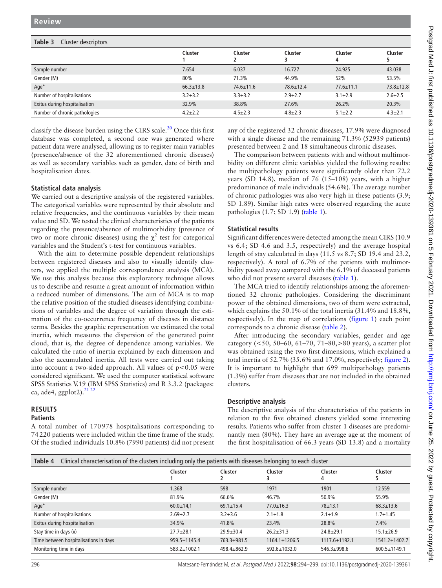# <span id="page-2-0"></span>**Table 3** Cluster descriptors

|                               | Cluster         | Cluster         | Cluster         | Cluster<br>4    | Cluster         |  |  |  |
|-------------------------------|-----------------|-----------------|-----------------|-----------------|-----------------|--|--|--|
| Sample number                 | 7.654           | 6.037           | 16.727          | 24.925          | 43.038          |  |  |  |
| Gender (M)                    | 80%             | 71.3%           | 44.9%           | 52%             | 53.5%           |  |  |  |
| Age $*$                       | $66.3 \pm 13.8$ | $74.6 \pm 11.6$ | $78.6 \pm 12.4$ | $77.6 \pm 11.1$ | $73.8 \pm 12.8$ |  |  |  |
| Number of hospitalisations    | $3.2 + 3.2$     | $3.3 \pm 3.2$   | $2.9 \pm 2.7$   | $3.1 \pm 2.9$   | $2.6 \pm 2.5$   |  |  |  |
| Exitus during hospitalisation | 32.9%           | 38.8%           | 27.6%           | 26.2%           | 20.3%           |  |  |  |
| Number of chronic pathologies | $4.2 \pm 2.2$   | $4.5 \pm 2.3$   | $4.8 \pm 2.3$   | $5.1 \pm 2.2$   | $4.3 \pm 2.1$   |  |  |  |
|                               |                 |                 |                 |                 |                 |  |  |  |

classify the disease burden using the CIRS scale.<sup>20</sup> Once this first database was completed, a second one was generated where patient data were analysed, allowing us to register main variables (presence/absence of the 32 aforementioned chronic diseases) as well as secondary variables such as gender, date of birth and hospitalisation dates.

# **Statistical data analysis**

We carried out a descriptive analysis of the registered variables. The categorical variables were represented by their absolute and relative frequencies, and the continuous variables by their mean value and SD. We tested the clinical characteristics of the patients regarding the presence/absence of multimorbidity (presence of two or more chronic diseases) using the  $\chi^2$  test for categorical variables and the Student's t-test for continuous variables.

With the aim to determine possible dependent relationships between registered diseases and also to visually identify clusters, we applied the multiple correspondence analysis (MCA). We use this analysis because this exploratory technique allows us to describe and resume a great amount of information within a reduced number of dimensions. The aim of MCA is to map the relative position of the studied diseases identifying combinations of variables and the degree of variation through the estimation of the co-occurrence frequency of diseases in distance terms. Besides the graphic representation we estimated the total inertia, which measures the dispersion of the generated point cloud, that is, the degree of dependence among variables. We calculated the ratio of inertia explained by each dimension and also the accumulated inertia. All tests were carried out taking into account a two-sided approach. All values of  $p < 0.05$  were considered significant. We used the computer statistical software SPSS Statistics V.19 (IBM SPSS Statistics) and R 3.3.2 (packages: ca, ade4, ggplot2). $^{2122}$ 

# **RESULTS**

### **Patients**

A total number of 170978 hospitalisations corresponding to 74220 patients were included within the time frame of the study. Of the studied individuals 10.8% (7990 patients) did not present any of the registered 32 chronic diseases, 17.9% were diagnosed with a single disease and the remaining 71.3% (52939 patients) presented between 2 and 18 simultaneous chronic diseases.

The comparison between patients with and without multimorbidity on different clinic variables yielded the following results: the multipathology patients were significantly older than 72.2 years (SD 14.8), median of 76 (15–108) years, with a higher predominance of male individuals (54.6%). The average number of chronic pathologies was also very high in these patients (3.9; SD 1.89). Similar high rates were observed regarding the acute pathologies (1.7; SD 1.9) [\(table](#page-1-0) 1).

# **Statistical results**

Significant differences were detected among the mean CIRS (10.9 vs 6.4; SD 4.6 and 3.5, respectively) and the average hospital length of stay calculated in days (11.5 vs 8.7; SD 19.4 and 23.2, respectively). A total of 6.7% of the patients with multimorbidity passed away compared with the 6.1% of deceased patients who did not present several diseases [\(table](#page-1-0) 1).

The MCA tried to identify relationships among the aforementioned 32 chronic pathologies. Considering the discriminant power of the obtained dimensions, two of them were extracted, which explains the 50.1% of the total inertia (31.4% and 18.8%, respectively). In the map of correlations ([figure](#page-1-1) 1) each point corresponds to a chronic disease ([table](#page-1-2) 2).

After introducing the secondary variables, gender and age category (<50, 50–60, 61–70, 71–80,>80 years), a scatter plot was obtained using the two first dimensions, which explained a total inertia of 52.7% (35.6% and 17.0%, respectively; [figure](#page-1-3) 2). It is important to highlight that 699 multipathology patients (1.3%) suffer from diseases that are not included in the obtained clusters.

#### **Descriptive analysis**

The descriptive analysis of the characteristics of the patients in relation to the five obtained clusters yielded some interesting results. Patients who suffer from cluster 1 diseases are predominantly men (80%). They have an average age at the moment of the first hospitalisation of 66.3 years (SD 13.8) and a mortality

<span id="page-2-1"></span>

| Clinical characterisation of the clusters including only the patients with diseases belonging to each cluster<br>Table 4 |                    |                 |                     |                     |                     |  |  |  |  |
|--------------------------------------------------------------------------------------------------------------------------|--------------------|-----------------|---------------------|---------------------|---------------------|--|--|--|--|
|                                                                                                                          | Cluster            | Cluster         | Cluster             | Cluster<br>4        | Cluster<br>5        |  |  |  |  |
| Sample number                                                                                                            | 1.368              | 598             | 1971                | 1901                | 12559               |  |  |  |  |
| Gender (M)                                                                                                               | 81.9%              | 66.6%           | 46.7%               | 50.9%               | 55.9%               |  |  |  |  |
| Age*                                                                                                                     | $60.0 \pm 14.1$    | $69.1 \pm 15.4$ | $77.0 \pm 16.3$     | $78 + 13.1$         | $68.3 \pm 13.6$     |  |  |  |  |
| Number of hospitalisations                                                                                               | $2.69 + 2.7$       | $3.2 + 3.6$     | $2.1 \pm 1.8$       | $2.1 + 1.9$         | $1.7 + 1.45$        |  |  |  |  |
| Exitus during hospitalisation                                                                                            | 34.9%              | 41.8%           | 23.4%               | 28.8%               | 7.4%                |  |  |  |  |
| Stay time in days (x)                                                                                                    | $27.7 + 28.1$      | $29.9 + 30.4$   | $26.2 + 31.3$       | $24.8 + 29.1$       | $15.1 \pm 26.9$     |  |  |  |  |
| Time between hospitalisations in days                                                                                    | $959.5 \pm 1145.4$ | $763.3 + 981.5$ | $1164.1 \pm 1206.5$ | $1117.6 \pm 1192.1$ | $1541.2 \pm 1402.7$ |  |  |  |  |
| Monitoring time in days                                                                                                  | 583.2±1002.1       | 498.4±862.9     | $592.6 \pm 1032.0$  | $546.3 + 998.6$     | $600.5 \pm 1149.1$  |  |  |  |  |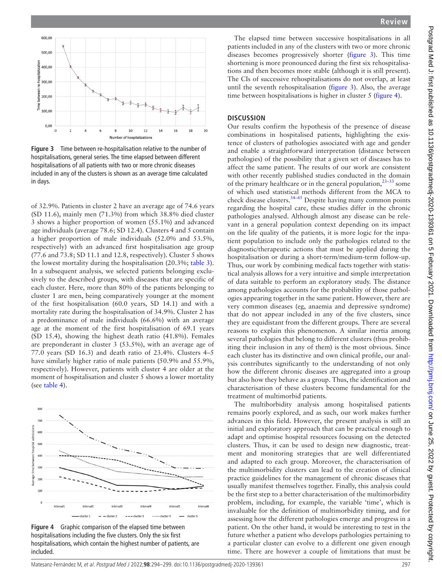

<span id="page-3-0"></span>**Figure 3** Time between re-hospitalisation relative to the number of hospitalisations, general series. The time elapsed between different hospitalisations of all patients with two or more chronic diseases included in any of the clusters is shown as an average time calculated in days.

of 32.9%. Patients in cluster 2 have an average age of 74.6 years (SD 11.6), mainly men (71.3%) from which 38.8% died cluster 3 shows a higher proportion of women (55.1%) and advanced age individuals (average 78.6; SD 12.4). Clusters 4 and 5 contain a higher proportion of male individuals (52.0% and 53.5%, respectively) with an advanced first hospitalisation age group (77.6 and 73.8; SD 11.1 and 12.8, respectively). Cluster 5 shows the lowest mortality during the hospitalisation (20.3%; [table](#page-2-0) 3). In a subsequent analysis, we selected patients belonging exclusively to the described groups, with diseases that are specific of each cluster. Here, more than 80% of the patients belonging to cluster 1 are men, being comparatively younger at the moment of the first hospitalisation (60.0 years, SD 14.1) and with a mortality rate during the hospitalisation of 34.9%. Cluster 2 has a predominance of male individuals (66.6%) with an average age at the moment of the first hospitalisation of 69.1 years (SD 15.4), showing the highest death ratio (41.8%). Females are preponderant in cluster 3 (53.5%), with an average age of 77.0 years (SD 16.3) and death ratio of 23.4%. Clusters 4–5 have similarly higher ratio of male patients (50.9% and 55.9%, respectively). However, patients with cluster 4 are older at the moment of hospitalisation and cluster 5 shows a lower mortality (see [table](#page-2-1) 4).



<span id="page-3-1"></span>**Figure 4** Graphic comparison of the elapsed time between hospitalisations including the five clusters. Only the six first hospitalisations, which contain the highest number of patients, are included.

The elapsed time between successive hospitalisations in all patients included in any of the clusters with two or more chronic diseases becomes progressively shorter ([figure](#page-3-0) 3). This time shortening is more pronounced during the first six rehospitalisations and then becomes more stable (although it is still present). The CIs of successive rehospitalisations do not overlap, at least until the seventh rehospitalisation [\(figure](#page-3-0) 3). Also, the average time between hospitalisations is higher in cluster 5 [\(figure](#page-3-1) 4).

# **DISCUSSION**

Our results confirm the hypothesis of the presence of disease combinations in hospitalised patients, highlighting the existence of clusters of pathologies associated with age and gender and enable a straightforward interpretation (distance between pathologies) of the possibility that a given set of diseases has to affect the same patient. The results of our work are consistent with other recently published studies conducted in the domain of the primary healthcare or in the general population,<sup>23-33</sup> some of which used statistical methods different from the MCA to check disease clusters.<sup>34-45</sup> Despite having many common points regarding the hospital care, these studies differ in the chronic pathologies analysed. Although almost any disease can be relevant in a general population context depending on its impact on the life quality of the patients, it is more logic for the inpatient population to include only the pathologies related to the diagnostic/therapeutic actions that must be applied during the hospitalisation or during a short-term/medium-term follow-up. Thus, our work by combining medical facts together with statistical analysis allows for a very intuitive and simple interpretation of data suitable to perform an exploratory study. The distance among pathologies accounts for the probability of those pathologies appearing together in the same patient. However, there are very common diseases (eg, anaemia and depressive syndrome) that do not appear included in any of the five clusters, since they are equidistant from the different groups. There are several reasons to explain this phenomenon. A similar inertia among several pathologies that belong to different clusters (thus prohibiting their inclusion in any of them) is the most obvious. Since each cluster has its distinctive and own clinical profile, our analysis contributes significantly to the understanding of not only how the different chronic diseases are aggregated into a group but also how they behave as a group. Thus, the identification and characterisation of these clusters become fundamental for the treatment of multimorbid patients.

The multiborbidity analysis among hospitalised patients remains poorly explored, and as such, our work makes further advances in this field. However, the present analysis is still an initial and exploratory approach that can be practical enough to adapt and optimise hospital resources focusing on the detected clusters. Thus, it can be used to design new diagnostic, treatment and monitoring strategies that are well differentiated and adapted to each group. Moreover, the characterisation of the multimorbidity clusters can lead to the creation of clinical practice guidelines for the management of chronic diseases that usually manifest themselves together. Finally, this analysis could be the first step to a better characterisation of the multimorbidity problem, including, for example, the variable 'time', which is invaluable for the definition of multimorbidity timing, and for assessing how the different pathologies emerge and progress in a patient. On the other hand, it would be interesting to test in the future whether a patient who develops pathologies pertaining to a particular cluster can evolve to a different one given enough time. There are however a couple of limitations that must be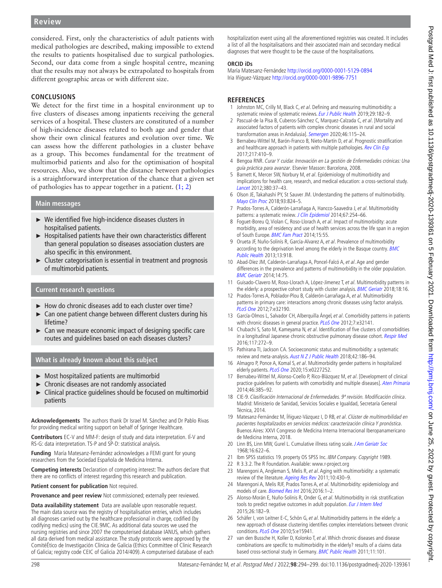considered. First, only the characteristics of adult patients with medical pathologies are described, making impossible to extend the results to patients hospitalised due to surgical pathologies. Second, our data come from a single hospital centre, meaning that the results may not always be extrapolated to hospitals from different geographic areas or with different size.

# **CONCLUSIONS**

We detect for the first time in a hospital environment up to five clusters of diseases among inpatients receiving the general services of a hospital. These clusters are constituted of a number of high-incidence diseases related to both age and gender that show their own clinical features and evolution over time. We can assess how the different pathologies in a cluster behave as a group. This becomes fundamental for the treatment of multimorbid patients and also for the optimisation of hospital resources. Also, we show that the distance between pathologies is a straightforward interpretation of the chance that a given set of pathologies has to appear together in a patient.  $(1, 2)$ 

# **Main messages**

- ► We identified five high-incidence diseases clusters in hospitalised patients.
- ► Hospitalised patients have their own characteristics different than general population so diseases association clusters are also specific in this environment.
- Cluster categorisation is essential in treatment and prognosis of multimorbid patients.

# **Current research questions**

- ► How do chronic diseases add to each cluster over time?
- ► Can one patient change between different clusters during his lifetime?
- Can we measure economic impact of designing specific care routes and guidelines based on each diseases clusters?

# **What is already known about this subject**

- ► Most hospitalized patients are multimorbid
- ► Chronic diseases are not randomly associated
- Clinical practice guidelines should be focused on multimorbid patients

**Acknowledgements** The authors thank Dr Israel M. Sánchez and Dr Pablo Rivas for providing medical writing support on behalf of Springer Healthcare.

**Contributors** EC-V and MM-F: design of study and data interpretation. IÍ-V and RS-G: data interpretation. TS-P and SP-D: statistical analysis.

**Funding** María Matesanz-Fernández acknowledges a FEMI grant for young researchers from the Sociedad Española de Medicina Interna.

**Competing interests** Declaration of competing interest: The authors declare that there are no conflicts of interest regarding this research and publication.

**Patient consent for publication** Not required.

**Provenance and peer review** Not commissioned; externally peer reviewed.

**Data availability statement** Data are available upon reasonable request. The main data source was the registry of hospitalisation entries, which includes all diagnoses carried out by the healthcare professional in charge, codified (by codifying medics) using the CIE.9MC. As additional data sources we used the nursing registries and since 2007 the computerised database IANUS, which gathers all data derived from medical assistance. The study protocols were approved by the ComitéÉtico de Investigación Clínica de Galicia (Ethics Committee of Clinic Research of Galicia; registry code CEIC of Galicia 2014/409). A computerised database of each hospitalization event using all the aforementioned registries was created. It includes a list of all the hospitalisations and their associated main and secondary medical diagnoses that were thought to be the cause of the hospitalisations.

### **ORCID iDs**

María Matesanz-Fernández <http://orcid.org/0000-0001-5129-0894> Iria Iñiguez-Vázquez<http://orcid.org/0000-0001-9896-7751>

# **REFERENCES**

- <span id="page-4-0"></span>1 Johnston MC, Crilly M, Black C, et al. Defining and measuring multimorbidity: a systematic review of systematic reviews. [Eur J Public Health](http://dx.doi.org/10.1093/eurpub/cky098) 2019;29:182-9.
- 2 Pascual-de la Pisa B, Cuberos-Sánchez C, Marquez-Calzada C, et al. [Mortality and associated factors of patients with complex chronic diseases in rural and social transformation areas in Andalusia]. [Semergen](http://dx.doi.org/10.1016/j.semerg.2019.05.006) 2020;46:115–24.
- 3 Bernabeu-Wittel M, Barón-Franco B, Nieto-Martín D, et al. Prognostic stratification and healthcare approach in patients with multiple pathologies. [Rev Clin Esp](http://dx.doi.org/10.1016/j.rce.2017.01.011) 2017;217:410–9.
- 4 Bengoa RNR. Curar Y cuidar. Innovación en La gestión de Enfermedades crónicas: Una guía práctica para avanzar. Elsevier Masson: Barcelona, 2008.
- <span id="page-4-1"></span>5 Barnett K, Mercer SW, Norbury M, et al. Epidemiology of multimorbidity and implications for health care, research, and medical education: a cross-sectional study. [Lancet](http://dx.doi.org/10.1016/S0140-6736(12)60240-2) 2012;380:37–43.
- 6 Olson JE, Takahashi PY, St Sauver JM. Understanding the patterns of multimorbidity. [Mayo Clin Proc](http://dx.doi.org/10.1016/j.mayocp.2018.05.016) 2018;93:824–5.
- <span id="page-4-2"></span>7 Prados-Torres A, Calderón-Larrañaga A, Hancco-Saavedra J, et al. Multimorbidity patterns: a systematic review. [J Clin Epidemiol](http://dx.doi.org/10.1016/j.jclinepi.2013.09.021) 2014;67:254-66.
- 8 Foguet-Boreu Q, Violan C, Roso-Llorach A, et al. Impact of multimorbidity: acute morbidity, area of residency and use of health services across the life span in a region of South Europe. [BMC Fam Pract](http://dx.doi.org/10.1186/1471-2296-15-55) 2014;15:55.
- 9 Orueta JF, Nuño-Solinís R, García-Alvarez A, et al. Prevalence of multimorbidity according to the deprivation level among the elderly in the Basque country. **BMC** [Public Health](http://dx.doi.org/10.1186/1471-2458-13-918) 2013;13:918.
- <span id="page-4-3"></span>10 Abad-Díez JM, Calderón-Larrañaga A, Poncel-Falcó A, et al. Age and gender differences in the prevalence and patterns of multimorbidity in the older population. [BMC Geriatr](http://dx.doi.org/10.1186/1471-2318-14-75) 2014;14:75.
- 11 Guisado-Clavero M, Roso-Llorach A, López-Jimenez T, et al. Multimorbidity patterns in the elderly: a prospective cohort study with cluster analysis. **[BMC Geriatr](http://dx.doi.org/10.1186/s12877-018-0705-7)** 2018;18:16.
- <span id="page-4-4"></span>12 Prados-Torres A, Poblador-Plou B, Calderón-Larrañaga A, et al. Multimorbidity patterns in primary care: interactions among chronic diseases using factor analysis. [PLoS One](http://dx.doi.org/10.1371/journal.pone.0032190) 2012;7:e32190.
- 13 García-Olmos L, Salvador CH, Alberquilla Ángel, et al. Comorbidity patterns in patients with chronic diseases in general practice. [PLoS One](http://dx.doi.org/10.1371/journal.pone.0032141) 2012;7:e32141.
- 14 Chubachi S, Sato M, Kameyama N, et al. Identification of five clusters of comorbidities in a longitudinal Japanese chronic obstructive pulmonary disease cohort. [Respir Med](http://dx.doi.org/10.1016/j.rmed.2016.07.002) 2016;117:272–9.
- <span id="page-4-5"></span>15 Pathirana TI, Jackson CA. Socioeconomic status and multimorbidity: a systematic review and meta-analysis. [Aust N Z J Public Health](http://dx.doi.org/10.1111/1753-6405.12762) 2018;42:186-94.
- 16 Almagro P, Ponce A, Komal S, et al. Multimorbidity gender patterns in hospitalized elderly patients. [PLoS One](http://dx.doi.org/10.1371/journal.pone.0227252) 2020;15:e0227252.
- 17 Bernabeu-Wittel M, Alonso-Coello P, Rico-Blázquez M, et al. [Development of clinical practice guidelines for patients with comorbidity and multiple diseases]. [Aten Primaria](http://dx.doi.org/10.1016/j.aprim.2013.11.013) 2014;46:385–92.
- <span id="page-4-6"></span>18 CIE-9. Clasificación Internacional de Enfermedades. 9ª revisión. Modificación clínica. Madrid: Ministerio de Sanidad, Servicios Sociales e Igualdad, Secretaría General Técnica, 2014.
- <span id="page-4-7"></span>19 Matesanz-Fernández M, Íñiguez-Vázquez I, D RB, et al. Clúster de multimorbilidad en pacientes hospitalizados en servicios médicos: caracterización clínica Y pronóstica. Buenos Aires: XXVI Congreso de Medicina Interna Internacional Iberopanamericano de Medicina Interna, 2018.
- <span id="page-4-8"></span>20 Linn BS, Linn MW, Gurel L. Cumulative illness rating scale. [J Am Geriatr Soc](http://dx.doi.org/10.1111/j.1532-5415.1968.tb02103.x) 1968;16:622–6.
- <span id="page-4-9"></span>21 Ibm SPSS statistics 19. property OS SPSS Inc. IBM Company. Copyright 1989.
- 22 R 3.3.2. The R Foundation. Available: <www.r-project.org>
- <span id="page-4-10"></span>23 Marengoni A, Angleman S, Melis R, et al. Aging with multimorbidity: a systematic review of the literature. [Ageing Res Rev](http://dx.doi.org/10.1016/j.arr.2011.03.003) 2011;10:430-9.
- 24 Marengoni A, Melis RJF, Prados Torres A, et al. Multimorbidity: epidemiology and models of care. [Biomed Res Int](http://dx.doi.org/10.1155/2016/7029027) 2016;2016:1–2.
- 25 Alonso-Morán E, Nuño-Solinis R, Onder G, et al. Multimorbidity in risk stratification tools to predict negative outcomes in adult population. [Eur J Intern Med](http://dx.doi.org/10.1016/j.ejim.2015.02.010) 2015;26:182–9.
- 26 Schäfer I, von Leitner E-C, Schön G, et al. Multimorbidity patterns in the elderly: a new approach of disease clustering identifies complex interrelations between chronic conditions. [PLoS One](http://dx.doi.org/10.1371/journal.pone.0015941) 2010;5:e15941.
- 27 van den Bussche H, Koller D, Kolonko T, et al. Which chronic diseases and disease combinations are specific to multimorbidity in the elderly? results of a claims data based cross-sectional study in Germany. [BMC Public Health](http://dx.doi.org/10.1186/1471-2458-11-101) 2011;11:101.